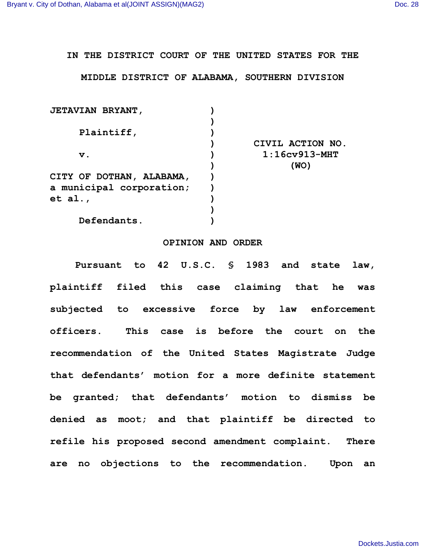## **IN THE DISTRICT COURT OF THE UNITED STATES FOR THE**

## **MIDDLE DISTRICT OF ALABAMA, SOUTHERN DIVISION**

| <b>JETAVIAN BRYANT,</b>          |                      |
|----------------------------------|----------------------|
|                                  |                      |
| Plaintiff,                       |                      |
|                                  | CIVIL ACTION NO.     |
| v.                               | $1:16$ cv $913$ -MHT |
|                                  | (WO)                 |
| CITY OF DOTHAN, ALABAMA,         |                      |
| a municipal corporation;         |                      |
| et al., $\overline{\phantom{a}}$ |                      |
|                                  |                      |
| Defendants.                      |                      |
|                                  |                      |

## **OPINION AND ORDER**

**Pursuant to 42 U.S.C. § 1983 and state law, plaintiff filed this case claiming that he was subjected to excessive force by law enforcement officers. This case is before the court on the recommendation of the United States Magistrate Judge that defendants' motion for a more definite statement be granted; that defendants' motion to dismiss be denied as moot; and that plaintiff be directed to refile his proposed second amendment complaint. There are no objections to the recommendation. Upon an**